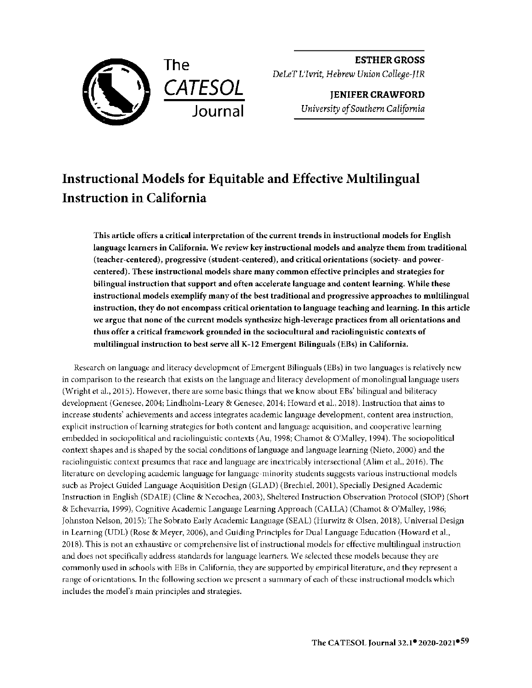

**ESTHER GROSS**  *DeLeT L'Ivrit, Hebrew Union College-JIR* 

> **JENIFER CRAWFORD**  *University of Southern California*

# **Instructional Models for Equitable and Effective Multilingual Instruction in California**

This article offers a critical interpretation of the current trends in instructional models for English language learners in California. We review key instructional models and analyze them from traditional (teacher-centered), progressive (student-centered), and critical orientations (society- and powercentered). These instructional models share many common effective principles and strategies for bilingual instruction that support and often accelerate language and content learning. While these instructional models exemplify many of the best traditional and progressive approaches to multilingual instruction, they do not encompass critical orientation to language teaching and learning. In this article we argue that none of the current models synthesize high-leverage practices from all orientations and thus offer a critical framework grounded in the sociocultural and raciolinguistic contexts of multilingual instruction to best serve all K-12 Emergent Bilinguals (EBs) in California.

Research on language and literacy development of Emergent Bilinguals (EBs) in two languages is relatively new in comparison to the research that exists on the language and literacy development of monolingual language users (Wright et al., 2015). However, there are some basic things that we know about EBs' bilingual and biliteracy development (Genesee, 2004; Lindholm-Leary & Genesee, 2014; Howard et al., 2018). Instruction that aims to increase students' achievements and access integrates academic language development, content area instruction, explicit instruction of learning strategies for both content and language acquisition, and cooperative learning embedded in sociopolitical and raciolinguistic contexts (Au, 1998; Chamot & O'Malley, 1994). The sociopolitical context shapes and is shaped by the social conditions of language and language learning (Nieto, 2000) and the raciolinguistic context presumes that race and language are inextricably intersectional (Alim et al., 2016). The literature on developing academic language for language-minority students suggests various instructional models such as Projecl Guided Language Acquisilion Design (GLAD) (Brechtel, 2001), Specially Designed Academic Instruction in English (SDAIE) (Cline & Kecochea, 2003), Sheltered Instruction Observation Protocol (SIOP) (Short & Echevarria, 1999), Cognitive Academic Language Learning Approach (CALLA) (Chamot & O'Malley, 1986; Johnston Nelson, 2015); The Sobrato Early Academic Language (SEAL) (Hurwitz & Olsen , 2018), Universal Design in Learning (UDL) (Rose & Meyer, 2006), and Guiding Principles for Dual Language Education (Howard et al., 2018). This is not an exhaustive or comprehensive list of instructional models for effective multilingual instruction and docs not specifically address standards for language learners. We selected these models because they are commonly used in schools with EBs in California, they are supported by empirical literature, and they represent a range of orientations. In the following section we present a summary of each of these instructional models which includes the model's main principles and strategies.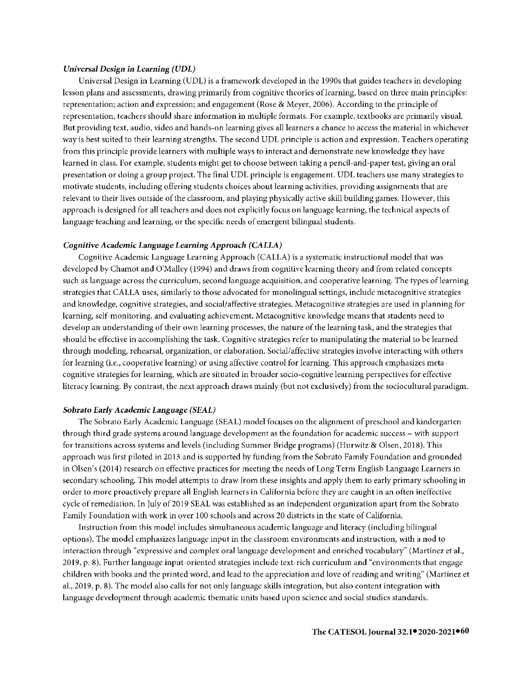#### *Universal Design in Learning (UDL)*

Universal Design in Learning (UDL) is a framework developed in the 1990s that guides teachers in developing lesson plans and assessments, drawing primarily from cognitive theories oflearning, based on three main principles: representation; action and expression; and engagement (Rose & Meyer, 2006). According to the principle of representation, teachers should share information in multiple formats. For example, textbooks are primarily visual. But providing text, audio, video and hands-on learning gives all learners a chance to access the material in whichever way is best suited to their learning strengths. The second UDL principle is action and expression. Teachers operating from this principle provide learners with multiple ways to interact and demonstrate new knowledge they have learned in class. For example, students might get to choose between taking a pencil-and-paper test, giving an oral presentation or doing a group project. The final UDL principle is engagement. UDL teachers use many strategies to motivate students, including offering students choices about learning activities, providing assignments that are relevant to their lives outside of the classroom, and playing physically active skill building games. However, this approach is designed for all teachers and does not explicitly focus on language learning, the technical aspects of language teaching and learning, or the specific needs of emergent bilingual students.

#### *Cognitive Academic* **Language** *Learning Approach (CALLA)*

Cognitive Academic Language Learning Approach (CALLA) is a systematic instructional model that was developed by Chamot and O'Malley (1994) and draws from cognitive learning theory and from related concepts such as language across the curriculum, second language acquisition, and cooperative learning. The types of learning strategies that CALLA uses, similarly to those advocated for monolingual settings, include metacognitive strategics and knowledge, cognitive strategies, and social/affective strategies. Metacognitive strategies are used in planning for learning, self-monitoring, and evaluating achievement. Metacognitive knowledge means that students need to develop an understanding of their own learning processes, the nature of the learning task, and the strategies that should be effective in accomplishing the task. Cognitive strategies refer to manipulating the material to be learned through modeling, rehearsal, organization, or elaboration. Social/affective strategies involve interacting with others for learning (i.e., cooperative learning) or using affective control for learning. This approach emphasizes metacognitive strategies for learning, which are situated in broader socio-cognitive learning perspectives for effective literacy learning. By contrast, the next approach draws mainly (but not exclusively) from the sociocultural paradigm.

# **Sobrafo** *Early Academic Language (SEAL)*

The Sobrato Early Academic Language (SEAL) model focuses on the alignment of preschool and kindergarten through third grade systems around language development as the foundation for academic success - with support for transitions across systems and levels (including Summer Bridge programs) (Hurwitz & Olsen, 2018). This approach was first piloted in 2013 and is supported by funding from the Sobrato Family Foundation and grounded in Olsen's (2014) research on effective practices for meeting the needs of Long Term English Language Learners in secondary schooling. This model attempts to draw from these insights and apply them to early primary schooling in order to more proactively prepare all English learners in California before they are caught in an often ineffective cycle of remediation. In July of 2019 SEAL was established as an independent organization apart from the Sobrato Family Foundation with work in over 100 schools and across 20 districts in the state of California.

Instruction from this model includes simultaneous academic language and literacy (including bilingual options). The model emphasizes language input in the classroom environments and instruction, with a nod to interaction through "expressive and complex oral language development and enriched vocabulary" (Martinez et al., 2019, p. 8 ). Further language input-oriented strategies include text-rich curriculum and "environments that engage children with books and the printed word, and lead to the appreciation and love of reading and writing" (Martinez et al., 2019, p. 8). The model also calls for not only language skills integration, but also content integration with language development through academic thematic units based upon science and social studies standards.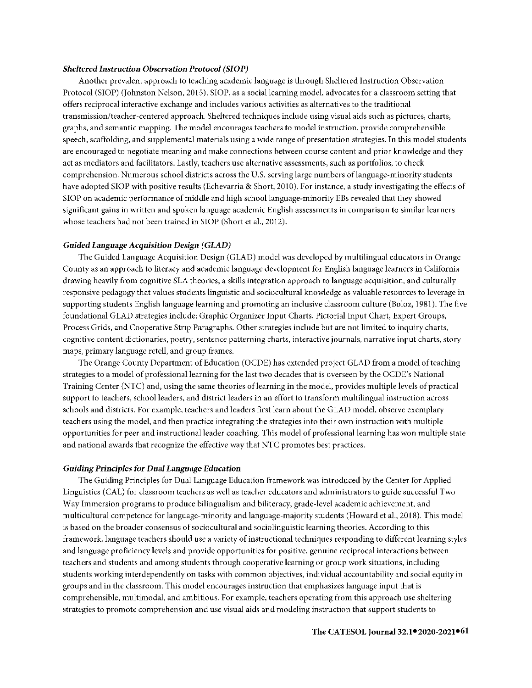#### *Sheltered Instruction Observation Protocol (SIOP)*

Another prevalent approach to teaching academic language is through Sheltered Instruction Observation Protocol (SIOP) (Johnston Nelson, 2015). SIOP, as a social learning model, advocates for a classroom setting that offers reciprocal interactive exchange and includes various activities as alternatives to the traditional transmission/teacher-centered approach. Sheltered techniques include using visual aids such as pictures, charts, graphs, and semantic mapping. The model encourages teachers to model instruction, provide comprehensible speech, scaffolding, and supplemental materials using a wide range of presentation strategies. In this model students are encouraged to negotiate meaning and make connections between course content and prior knowledge and they act as mediators and facilitators. Lastly, teachers use alternative assessments, such as portfolios, to check comprehension. Numerous school districts across the U.S. serving large numbers oflanguage-minority students have adopted SIOP with positive results (Echevarria & Short, 2010). For instance, a study investigating the effects of SIOP on academic performance of middle and high school language-minority EBs revealed that they showed significant gains in written and spoken language academic English assessments in comparison to similar learners whose teachers had not been trained in SIOP (Short et al., 2012).

# *Guided Language Acquisition Design (GLAD)*

The Guided Language Acquisition Design (GLAD) model was developed by multilingual educators in Orange County as an approach to literacy and academic language development for English language learners in California drawing heavily from cognitive SLA theories, a skills integration approach to language acquisition, and culturally responsive pedagogy that values students linguistic and sociocultural knowledge as valuable resources to leverage in supporting students English language learning and promoting an inclusive classroom culture (Boloz, 1981 ). The five foundational GLAD strategics include: Graphic Organizer Input Charts, Pictorial Input Chart, Expert Groups, Process Grids, and Cooperative Strip Paragraphs. Other strategies include but are not limited to inquiry charts, cognitive content dictionaries, poetry, sentence patterning charts, interactive journals, narrative input charts, story maps, primary language retell, and group frames.

The Orange County Department of Education (OCDE) has extended project GLAD from a model of teaching strategies to a model of professional learning for the last two decades that is overseen by the OCDE's National Training Center (NTC) and, using the same theories oflearning in the model, provides multiple levels of practical support to teachers, school leaders, and district leaders in an effort to transform multilingual instruction across schools and districts. For example, teachers and leaders first learn about the GLAD model, observe exemplary teachers using the model, and then practice integrating the strategies into their own instruction with multiple opportunities for peer and instructional leader coaching. This model of professional learning has won multiple state and national awards that recognize the effective way that NTC promotes best practices.

# *Guiding Principles for Dual* **Language** *Education*

The Guiding Principles for Dual Language Education framework was introduced by the Center for Applied Linguistics (CAL) for classroom teachers as well as teacher educators and administrators to guide successful Two Way Immersion programs to produce bilingualism and biliteracy, grade-level academic achievement, and multicultural competence for language-minority and language-majority students (Howard et al., 2018). This model is based on the broader consensus of sociocultural and sociolinguistic learning theories. According to this framework, language teachers should use **a** variety of instructional techniques responding to different learning styles and language proficiency levels and provide opportunities for positive, genuine reciprocal interactions between teachers and students and among students through cooperative learning or group work situations, including students working interdependently on tasks with common objectives, individual accountability and social equity in groups and in the classroom. This model encourages instruction that emphasizes language input that is comprehensible, multimodal, and ambitious. For example, teachers operating from this approach use sheltering strategies to promote comprehension and use visual aids and modeling instruction that support students to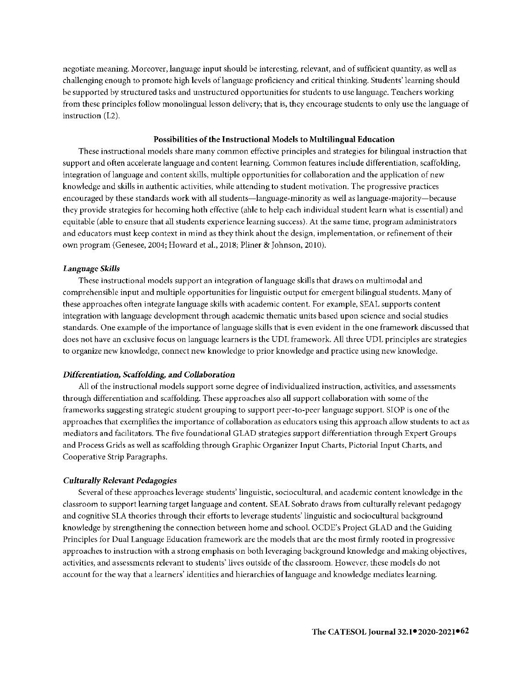negotiate meaning. Moreover, language input should be interesting, relevant, and of sufficient quantity, as well as challenging enough to promote high levels of language proficiency and critical thinking. Students' learning should be supported by structured tasks and unstructured opportunities for students to use language. Teachers working from these principles follow monolingual lesson delivery; that is, they encourage students to only use the language of instruction (L2).

#### **Possibilities of the Instructional Models to Multilingual Education**

These instructional models share many common effective principles and strategies **for** bilingual instruction that support and often accelerate language and content learning. Common features include differentiation, scaffolding, integration oflanguage and content skills, multiple opportunities for collaboration and the application of new knowledge and skills in authentic activities, while attending to student motivation. The progressive practices encouraged by these standards work with all students-language-minority as well as language-majority-because they provide strategies for becoming both effective (able to help each individual student learn what is essential) and equitable (able to ensure that all students experience learning success). At the same time, program administrators and educators must keep context in mind as they think about the design, implementation, or refinement of their own program (Genesee, 2004; Howard et al., 2018; Pliner & Johnson, 2010).

# *Language Skills*

These instructional models support an integration oflanguage skills that draws on multimodal and comprehensible input and multiple opportunities for linguistic output for emergent bilingual students. Many of these approaches often integrate language skills **with** academic content. For example, SEAL supports content integration with language development through academic thematic units based upon science and social studies standards. One example of the importance oflanguage skills that is even evident in the one framework discussed that does not have an exclusive focus on language learners is the UDL framework. All three UDL principles are strategics to organize new knowledge, connect new knowledge to prior knowledge and practice using new knowledge.

# *Differentiation, Scaffolding,* **and** *Collaboration*

All of the instructional models support some degree of individualized instruction, activities, and assessments through differentiation and scaffolding. These approaches also **all** support collaboration with some of the frameworks suggesting strategic student grouping to support peer-to-peer language support. SIOP is one of the approaches that exemplifies the importance of collaboration as educators using this approach allow students to act as mediators and facilitators. The five foundational GLAD strategies support differentiation through Expert Groups and Process Grids as well as scaffolding through Graphic Organizer Input Charts, Pictorial Input Charts, and Cooperative Strip Paragraphs.

# *Culturally Relevant Pedagogies*

Several of these approaches leverage students' linguistic, sociocultural, and academic content knowledge in the classroom to support learning target language and content. SEAL Sobrato draws from culturally relevant pedagogy and cognitive SLA theories through their efforts to leverage students' linguistic and sociocultural background knowledge by strengthening the connection between home and school. OCDE's Project GLAD and the Guiding Principles for Dual Language Education framework are the models that are the most firmly rooted in progressive approaches to instruction with a strong emphasis on both leveraging background knowledge and making objectives, activities, and assessments relevant to students' lives outside of the classroom. However, these models do not account for the way that a learners' identities and hierarchies oflanguage and knowledge mediates learning.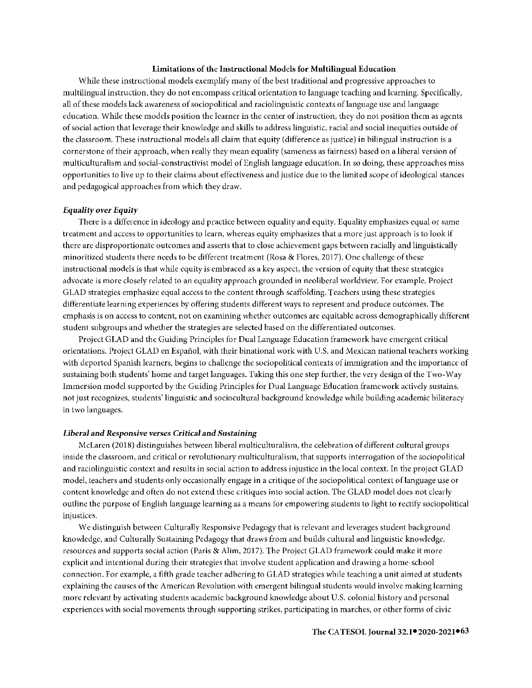#### Limitations of the Instructional Models for Multilingual Education

While these instructional models exemplify many of the best traditional and progressive approaches to multilingual instruction, they do not encompass critical orientation to language teaching and learning. Specifically, all of these models lack awareness of sociopolitical and raciolinguistic contexts oflanguage use and language education. While these models position the learner in the center of instruction, they do not position them as agents of social action that leverage their knowledge and skills to address linguistic, racial and social inequities outside of the classroom. These instructional models all claim that equity (difference as justice) in bilingual instruction is a cornerstone of their approach, when really they mean equality (sameness as fairness) based on a liberal version of multiculturalism and social-constructivist model of English language education. In *so* doing, these approaches miss opportunities to live up to their claims about effectiveness and justice due to the limited scope of ideological stances and pedagogical approaches from which they draw.

# *Equality over Equity*

There is a difference in ideology and practice between equality and equity. Equality emphasizes equal or same treatment and access to opportunities to learn, whereas equity emphasizes that a more just approach is to look if there are disproportionate outcomes and asserts that to close achievement gaps between racially and linguistically minoritized students there needs to be different treatment (Rosa & Flores, 2017). One challenge of these instructional models is that while equity is embraced as a key aspect, the version of equity that these strategies advocate is more closely related to an equality approach grounded in neoliberal worldview. For example, Project GLAD strategies emphasize equal access to the content through scaffolding. Teachers using these strategies differentiate learning experiences by offering students different ways to represent and produce outcomes. The emphasis is on access to content, not on examining whether outcomes are equitable across demographically different student subgroups and whether the strategies are selected based on the differentiated outcomes.

Project GLAD and the Guiding Principles for Dual Language Education framework have emergent critical orientations. Project GLAD en Espanol, with their binational work with U.S. and Mexican national teachers working with deported Spanish learners, begins to challenge the sociopolitical contexts of immigration and the importance of sustaining both students' home and target languages. Taking this one step further, the very design of the Two-Way lmmersion model supported by the Guiding Principles for Dual Language Education framework actively sustains, not just recognizes, students' linguistic and sociocultural background knowledge while building academic biliteracy in two languages.

#### *Liberal and Responsive verses Critical and Sustaining*

McLaren (2018) distinguishes between liberal multiculturalism, the celebration of different cultural groups inside the classroom, and critical or revolutionary multiculturalism, that supports interrogation of the sociopolitical and raciolinguistic context and results in social action to address injustice in the local context. In the project GLAD model, teachers and students only occasionally engage in a critique of the sociopolitical context oflanguage use or content knowledge and often do not extend these critiques into social action. The GLAD model does not clearly outline the purpose of English language learning as a means for empowering students to fight to rectify sociopolitical injustices.

We distinguish between Culturally Responsive Pedagogy that is relevant and leverages student background knowledge, and Culturally Sustaining Pedagogy that draws from and builds cultural and linguistic knowledge, resources and supports social action (Paris & Alim, 2017). The Project GLAD framework could make it more explicit and intentional during their strategies that involve student application and drawing a home-school connection. For example, a fifth grade teacher adhering to GLAD strategies while teaching a unit aimed at students explaining the causes of the American Revolution with emergent bilingual students would involve making learning more relevant by activating students academic background knowledge about U.S. colonial history and personal experiences with social movements through supporting strikes, participating in marches, or other forms of civic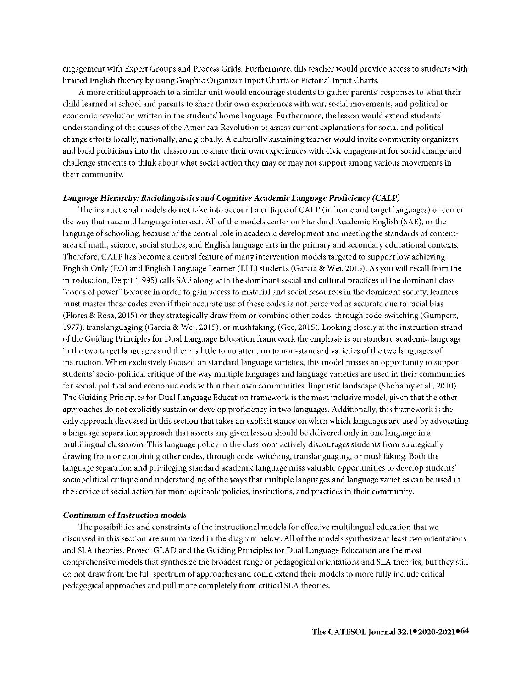engagement with Expert Groups and Process Grids. Furthermore, this teacher would provide access to students with limited English fluency by using Graphic Organizer lnput Charts or Pictorial lnput Charts.

A more critical approach to a similar unit would encourage students to gather parents' responses to what their child learned at school and parents to share their own experiences with war, social movements, and political or economic revolution written in the students' home language. Furthermore, the lesson would extend students' understanding of the causes of the American Revolution to assess current explanations for social and political change efforts locally, nationally, and globally. A culturally sustaining teacher would invite community organizers and local politicians into the classroom to share their own experiences with civic engagement for social change and challenge students to think about what social action they may or may not support among various movements **in**  their community.

#### **Language** *Hierarchy: Raciolinguistics* **and** *Cognitive Academic Language Proficiency (CALP)*

The instructional models do not take into account a critique of CALP (in home and target languages) or center the way that race and language intersect. All of the models center on Standard Academic English (SAE), or the language of schooling, because of the central role in academic development and meeting the standards of contentarea of math, science, social studies, and English language arts in the primary and secondary educational contexts. Therefore, CALP has become a central feature of many intervention models targeted to support low achieving English Only (EO) and English Language Learner (ELL) students (Garcia & Wei, 2015). As you will recall from the introduction, Delpit (1995) calls SAE along with the dominant social and cultural practices of the dominant class "codes of power" because in order to gain access to material and social resources in the dominant society, learners must master these codes even if their accurate use of these codes is not perceived as accurate due to racial bias (Flores & Rosa, 2015) or they strategically draw from or combine other codes, through code-switching (Gumperz, 1977), translanguaging (Garcia & Wei, 2015), or mush faking; (Gee, 2015). Looking closely at the instruction strand of the Guiding Principles for Dual Language Education framework the emphasis is on standard academic language in the two target languages and there is little to no attention to non-standard varieties of the two languages of instruction. When exclusively focused on standard language varieties, this model misses an opportunity to support students' socio-political critique of the way multiple languages and language varieties are used in their communities for social, political and economic ends within their own communities' linguistic landscape (Shohamy et al., 2010). The Guiding Principles for Dual Language Education framework is the most inclusive model, given that the other approaches do not explicitly sustain or develop proficiency in two languages. Additionally, this framework is the only approach discussed in this section that takes an explicit stance on when which languages are used by advocating a language separation approach that asserts any given lesson should be delivered only in one language in a multilingual classroom. This language policy **in** the classroom actively discourages students from strategically drawing from or combining other codes, through code-switching, translanguaging, or mushfaking. Both the language separation and privileging standard academic language miss valuable opportunities to develop students' sociopolitical critique and understanding of the ways that multiple languages and language varieties can be used in the service of social action for more equitable policies, institutions, and practices in their community.

# *Continuum of Instruction models*

The possibilities and constraints of the instructional models for effective multilingual education that we discussed in this section are summarized in the diagram below. All of the models synthesize at least two orientations and SLA theories. Project GLAD and the Guiding Principles for Dual Language Education are the most comprehensive models that synthesize the broadest range of pedagogical orientations and SLA theories, but they still do not draw from the full spectrum of approaches and could extend their models to more fully include critical pedagogical approaches and pull more completely from critical SLA theories.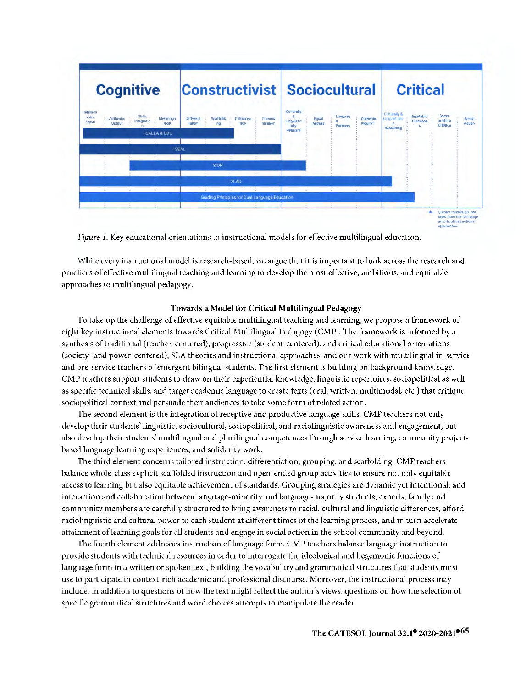

*Figure 1.* Key educational orientations to instructional models for effective multilingual education.

While every instructional model is research-based, we argue that it is important to look across the research and practices of effective multilingual teaching and learning to develop the most effective, ambitious, and equitable approaches to multilingual pedagogy.

# **Towards a Model for Critical Multilingual Pedagogy**

To take up the challenge of effective equitable multilingual teaching and learning, we propose a framework of eight key instructional elements towards Critical Multilingual Pedagogy (CMP). The framework is informed by a synthesis of traditional (teacher-centered), progressive (student-centered), and critical educational orientations (society- and power-centered), SLA theories and instructional approaches, and our work with multilingual in-service and pre-service teachers of emergent bilingual students. The first clement is building on background knowledge. CMP teachers support students to draw on their experiential knowledge, linguistic repertoires, sociopolitical as well as specific technical skills, and target academic language to create texts (oral, written, multimodal, etc.) that critique sociopolitical context and persuade their audiences to take some form of related action.

The second element is the integration of receptive and productive language skills. CMP teachers not only develop their students' linguistic, sociocultural, sociopolitical, and raciolinguistic awareness and engagement, but also develop their students' multilingual and plurilingual competences through service learning, community projectbased language learning experiences, and solidarity work.

The third element concerns tailored instruction: differentiation, grouping, and scaffolding. CMP teachers balance whole-class explicit scaffolded instruction and open-ended group activities to ensure not only equitable access to learning but also equitable achievement of standards. Grouping strategies are dynamic yet intentional, and interaction and collaboration between language-minority and language-majority students, experts, family and community members are carefully structured to bring awareness to racial, cultural and linguistic differences, afford raciolinguistic and cultural power to each student at different times of the learning process, and in turn accelerate attainment of learning goals for all students and engage in social action in the school community and beyond.

The fourth element addresses instruction oflanguage form. CMP teachers balance language instruction to provide students with technical resources in order to interrogate the ideological and hegemonic functions of language form in a written or spoken text, building the vocabulary and grammatical structures that students must use to participate in context-rich academic and professional discourse. Moreover, the instructional process may include, in addition to questions of how the text might reflect the author's views, questions on how the selection of specific grammatical structures and word choices attempts to manipulate the reader.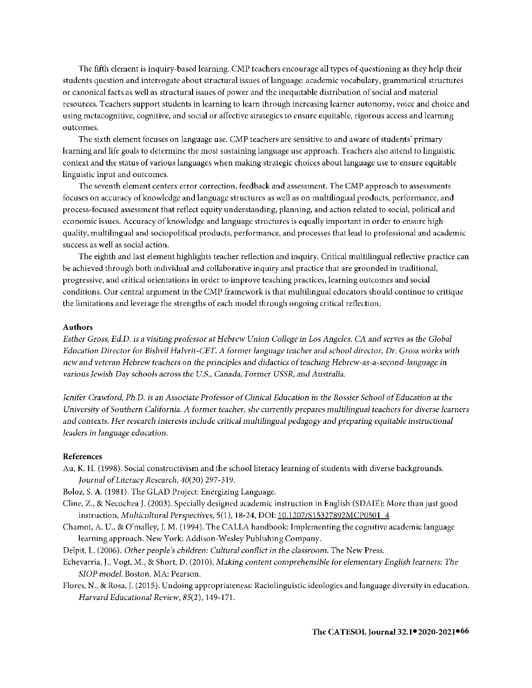The fifth element is inquiry-based learning. CMP teachers encourage all types of questioning as they help their students question and interrogate about structural issues of language: academic vocabulary, grammatical structures or canonical facts as well as structural issues of power and the inequitable distribution of social and material resources. Teachers support students in learning to learn through increasing learner autonomy, voice and choice and using metacognitive, cognitive, and social or affective strategies to ensure equitable, rigorous access and learning outcomes.

The sixth element focuses on language use. CMP teachers are sensitive to and aware of students' primary learning and life goals to determine the most sustaining language use approach. Teachers also attend to linguistic context and the status of various languages when making strategic choices about language use to ensure equitable linguistic input and outcomes.

The seventh element centers error correction, feedback and assessment. The CMP approach to assessments focuses on accuracy of knowledge and language structures as well as on multilingual products, performance, and process-focused assessment that reflect equity understanding, planning, and action related to social, political and economic issues. Accuracy of knowledge and language structures is equally important in order to ensure highquality, multilingual and sociopolitical products, performance, and processes that lead to professional and academic success as well as social action.

The eighth and last element highlights teacher reflection and inquiry. Critical multilingual reflective practice can be achieved through both individual and collaborative inquiry and practice that are grounded in traditional, progressive, and critical orientations in order to improve teaching practices, learning outcomes and social conditions. Our central argument in the CMP framework is that multilingual educators should continue to critique the limitations and leverage the strengths of each model through ongoing critical reflection.

### **Authors**

*Esther Gross, Ed.D. is* a *visiting professor at Hebrew Union College in Los Angeles, CA and serves* as *the Global Education Director for Bishvil Halvrit-CET. A former language teacher and school director, Dr. Gross works with new and veteran Hebrew teachers on the principles and didactics of teaching Hebrew-as-a-second-language in various Jewisli Day schools across the U.S., Canada, Former USSR, and Australia.* 

*Jenifer Crawford, Ph.D. is an Associate Professor of Clinical Education in the Rossier School of Education at the University of Southern California. A former teacher, she currently prepares multilingual teachers for diverse learners and contexts. Her research interests include critical multilingual pedagogy and preparing equitable instructional leaders in language* education.

#### **References**

Au, **K. H.** (1998). Social constructivism and the school literacy learning of students with diverse backgrounds. *Journal of Literacy Research,* 40(30) 297-319.

Boloz, S. A. (1981). The GLAD Project: Energizing Language.

- Cline, Z., & Necochea J. (2003). Specially designed academic instruction in English (SDAIE): More than just good instruction, *Multicultural Perspectives,* 5(1), 18-24, DOI[: 10.1207/S15327892MCP0501 4](https://doi.org/10.1207/S15327892MCP0501_4)
- Chamot, A. U., & O'malley, J.M. (1994). The CALLA handbook: Implementing the cognitive academic language learning approach. New York: Addison-Wesley Publishing Company.
- Delpit, L. (2006). *Other people's children: Cultural conflict* in *the classroom.* The New Press.
- Echevarria, **J.,** Vogt, M., & Short, D. (2010). *Making content comprehensible for elementary English learners: The SIOP model.* Boston, MA: Pearson.
- Flores, N., & Rosa, J. (2015). Undoing appropriateness: Raciolinguistic ideologies and language diversity in education. *Harvard Educational Review,* 85(2), 149-171.